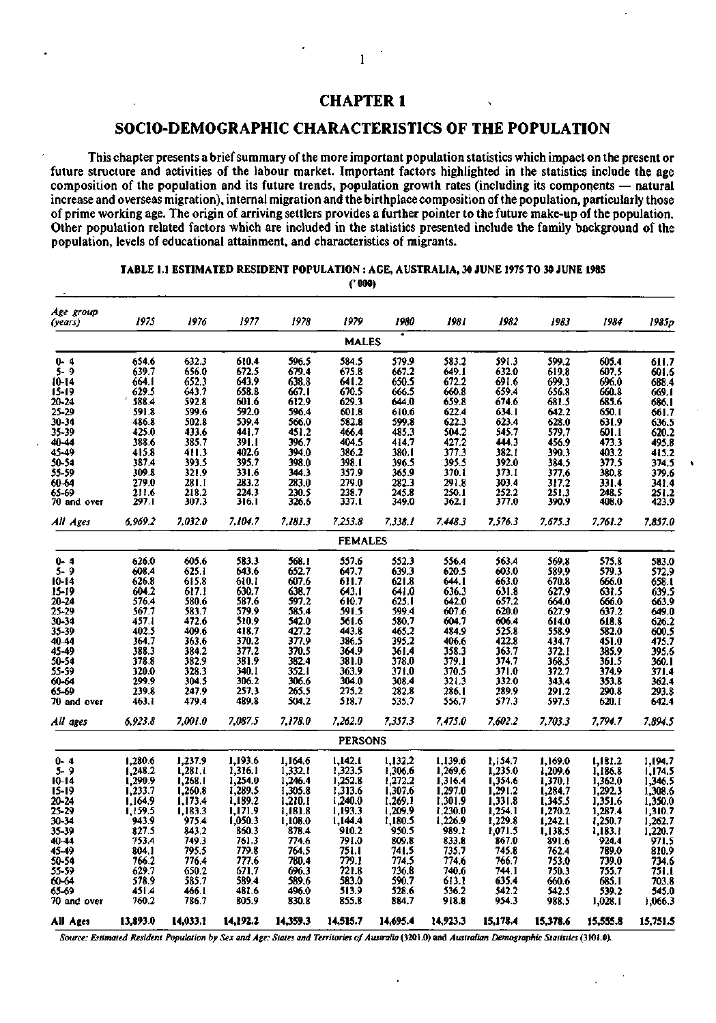## **SOCIO-DEMOGRAPHIC CHARACTERISTICS OF THE POPULATION**

This chapter presents a brief summary of the more important population statistics which impact on the present or future structure and activities of the labour market. Important factors highlighted in the statistics include the age composition of the population and its future trends, population growth rates (including its components — natural increase and overseas migration), internal migration and the birthplace composition of the population, particularly those of prime working age. The origin of arriving settlers provides a further pointer to the future make-up of the population. Other population related factors which are included in the statistics presented include the family background of the population, levels of educational attainment, and characteristics of migrants.

| Age group<br>(years) | 1975                          | 1976               | 1977                               | 1978                                                                                                    | 1979                                     | 1980                                                           | 1981                          | 1982                          | 1983                                | 1984                                     | 1985p                                                                |
|----------------------|-------------------------------|--------------------|------------------------------------|---------------------------------------------------------------------------------------------------------|------------------------------------------|----------------------------------------------------------------|-------------------------------|-------------------------------|-------------------------------------|------------------------------------------|----------------------------------------------------------------------|
|                      |                               |                    |                                    |                                                                                                         | <b>MALES</b>                             |                                                                |                               |                               |                                     |                                          |                                                                      |
|                      |                               |                    |                                    |                                                                                                         |                                          |                                                                |                               |                               |                                     |                                          |                                                                      |
| $0 - 4$              | 654.6                         | 632.3              | 610.4                              | 596.5                                                                                                   | 584.5                                    | 579.9                                                          | 583.2                         | 591.3                         | 599.2                               | 605.4                                    | 611.7                                                                |
| $5 - 9$              | 639.7                         | 656.0              | 672.5                              | 679.4                                                                                                   | 675.8                                    | 667.2                                                          | 649.1<br>672.2                | 632.0                         | 619.8                               | 607.5                                    | 601.6                                                                |
| $10 - 14$            | 664.1                         | 652.3<br>643.7     | 643.9                              | 638.8                                                                                                   | 641.2                                    | 650.5                                                          | 660.8                         | 691.6<br>659.4                | 699.3                               | 696.0                                    | 688.4                                                                |
| 13-19                | 629.5                         |                    | 658.8                              | $\frac{667.1}{612.9}$                                                                                   | 670.5<br>629.3                           | 666.5                                                          |                               |                               | 656.8<br>681.5                      | 660.8                                    | 669.1<br>686.1<br>661.7<br>636.5<br>620.2<br>495.8<br>415.2<br>374.5 |
| 20-24<br>$25 - 29$   | 588.4<br>591.8                | 592.8<br>599.6     | 601.6<br>592.0                     |                                                                                                         | 601.8                                    | 644.0                                                          | 659.8                         | 674.6                         | 642.2                               | 685.6<br>650.1                           |                                                                      |
| $30 - 34$            | 486.8                         | 502.8              |                                    |                                                                                                         | 582.8                                    | 610.6                                                          | 622.4<br>622.3                | $634.1$<br>$623.4$            |                                     |                                          |                                                                      |
| 35-39                | 425.0                         |                    | 539.4<br>441.7                     |                                                                                                         | 466.4                                    | 485.3                                                          |                               | 545.7                         | 628.0                               | 631.9                                    |                                                                      |
|                      |                               | 433.6<br>385.7     | 391.1                              | $596.4$<br>$566.0$<br>$451.2$<br>$396.7$<br>$394.0$                                                     | 404.5                                    | 414.7                                                          | 504.2                         |                               | 579.7<br>456.9                      | 601.1<br>473.3                           |                                                                      |
| 40-44                | 388.6<br>415.8                | 411.3              | 402.6                              |                                                                                                         | 386.2                                    | 380.1                                                          | 427.2<br>377.3                | 444.3<br>382.1                | 390.3                               | 403.2                                    |                                                                      |
| 45-49                | 387.4                         |                    | 395.7                              |                                                                                                         |                                          |                                                                |                               |                               |                                     |                                          |                                                                      |
| 50-54<br>55-59       | 309.8                         | 393.5<br>321.9     | 331.6                              | 398.0                                                                                                   | 398.1<br>357.9                           | $396.5$<br>$365.9$<br>$282.3$                                  | 395.5<br>370.1                | 392.0<br>373.1                | 384.5<br>377.6<br>317.2             | 377.5<br>380.8                           |                                                                      |
|                      | 279.0                         |                    | 283.2                              | 344.3<br>283.0                                                                                          | 279.0                                    |                                                                |                               |                               |                                     |                                          |                                                                      |
| 60-64<br>65-69       | 211.6                         | 28 I.I<br>218.2    | 224.3                              | 230.5                                                                                                   | 238.7                                    | 245.8                                                          | 291,8<br>250.1                | 303.4<br>252.2                | 251.3                               | 331.4<br>248.5                           |                                                                      |
| 70 and over          | 297.1                         | 307.3              | 316.1                              | 326.6                                                                                                   | 337.1                                    | 349.0                                                          | 362. I                        | 377.0                         | 390.9                               | 408.0                                    | 379.6<br>341.4<br>251.2<br>423.9                                     |
|                      |                               |                    |                                    |                                                                                                         |                                          |                                                                |                               |                               |                                     |                                          |                                                                      |
| All Ages             | 6.969.2                       | 7,032.0            | 7,104.7                            | 7.181.3                                                                                                 | 7,253.8                                  | 7,338.1                                                        | 7,448.3                       | 7,576.3                       | 7,675.3                             | 7,761.2                                  | 7,857.0                                                              |
|                      |                               |                    |                                    |                                                                                                         | <b>FEMALES</b>                           |                                                                |                               |                               |                                     |                                          |                                                                      |
| $0 - 4$              | 626.0                         | 605.6              | 583.3                              | 568.1                                                                                                   | 557.6                                    |                                                                | 556.4                         | 563.4                         | 569.8                               |                                          |                                                                      |
| $5 - 9$              | 608.4                         | 625.1              |                                    |                                                                                                         |                                          | 552.3<br>639.3<br>621.8                                        | 620.5                         | 603.0                         | 589.9                               | 575.8<br>579.3                           | 583.0<br>572.9<br>658.1<br>639.5<br>663.9<br>649.0                   |
| $10 - 14$            | 626.8                         | 615.8              | 643.6<br>610.1                     |                                                                                                         | $647.7$<br>$611.7$                       |                                                                | 644.I                         | 663.0                         | 670.8                               | 666.0                                    |                                                                      |
| 15-19                |                               | 617.1              |                                    |                                                                                                         |                                          |                                                                |                               |                               |                                     |                                          |                                                                      |
|                      |                               |                    |                                    |                                                                                                         |                                          |                                                                |                               | 631.8                         |                                     |                                          |                                                                      |
| 20-24<br>25-29       | $604.2$<br>576.4<br>567.7     | 580.6<br>583.7     | $630.7$<br>$587.6$<br>$579.9$      |                                                                                                         | $643.1$<br>$610.7$<br>$591.5$            | $641.0$<br>$625.1$<br>$599.4$                                  | $636.3$<br>$642.0$<br>$607.6$ | 620.0                         | $627.9$<br>$664.0$<br>$627.9$       |                                          |                                                                      |
| 30-34                |                               | 472.6              |                                    | 62.7<br>607.6<br>638.7<br>638.7<br>542.0<br>427.2<br>370.5<br>382.4<br>370.5<br>382.4<br>306.6<br>265.5 | 561.6                                    | 580.7                                                          | 604.7                         |                               | 614.0                               | $631.5$<br>$666.0$<br>$637.2$<br>$618.8$ |                                                                      |
| 35-39                | 457.1<br>402.5                |                    | $510.9$<br>418.7<br>370.2<br>377.2 |                                                                                                         |                                          | 465.2                                                          | 484.9                         | 606.4<br>525.8                | 558.9                               | 582.0                                    | $626.2$<br>$600.5$<br>$475.7$                                        |
| 40-44                | 364.7                         | 409.6<br>363.6     |                                    |                                                                                                         | 443.8                                    | 395.2                                                          | 406.6                         | 422.8                         | 434.7                               | 451.0                                    |                                                                      |
| 45-49                | 388.3                         | 384.2              |                                    |                                                                                                         | 364.9                                    |                                                                |                               | 363.7                         |                                     |                                          |                                                                      |
| 50-54                | 378.8                         | 382.9              | 381.9                              |                                                                                                         |                                          | 361.4<br>378.0                                                 | 358.3<br>379.1                | 374.7                         |                                     | 385.9<br>361.5                           |                                                                      |
| 55-59                | 320.0                         | 328.3              | 340.1                              |                                                                                                         | 381.0<br>363.9                           | 371.0                                                          | 370.5                         | 371.0                         | 372.1<br>368.5<br>372.7             | 374.9                                    | $395.6$<br>$360.1$<br>$371.4$                                        |
| 60-64                | 299.9                         | 304.5              | 306.2                              |                                                                                                         | 304.0                                    | 308.4                                                          |                               | 332.0                         | 343.4                               | 353.8                                    |                                                                      |
| 65-69                | 239.8                         | 247.9              | 257.3                              |                                                                                                         | 275.2                                    | 282.8                                                          | 321.3<br>286.1                | 289.9                         | 291.2                               | 290.8                                    |                                                                      |
| 70 and over          | 463.1                         | 479.4              | 489.8                              | 504.2                                                                                                   | 518.7                                    | 535.7                                                          | 556.7                         | 577.3                         | 597.5                               | 620.1                                    | $362.4$<br>293.8<br>642.4                                            |
| All ages             | 6.923.8                       | 7,001.0            | 7,087.5                            | 7,178.0                                                                                                 | 7,262.0                                  | 7,357.3                                                        | 7,475.0                       | 7.602.2                       | 7.703.3                             | 7,794.7                                  | 7,894.5                                                              |
|                      |                               |                    |                                    |                                                                                                         | <b>PERSONS</b>                           |                                                                |                               |                               |                                     |                                          |                                                                      |
|                      |                               |                    |                                    |                                                                                                         |                                          |                                                                |                               |                               |                                     |                                          |                                                                      |
| $0 - 4$              | 1,280.6                       | 1,237.9<br>1,281.1 | 1,193.6<br>1,316.1                 | 1, 164.6<br>1, 332.1<br>1, 246.4<br>1, 305.8<br>1, 210.1                                                | 1,142.1<br>1,323.5<br>1,252.8<br>1,313.6 | 1,132.2<br>1,306.6<br>1,272.2<br>1,307.6<br>1,269.1<br>1,209.9 | 1,139.6<br>1,269.6            | 1,154.7<br>1,235.0<br>1,354.6 | 1,169.0                             | 1,181.2                                  | 1,194.7                                                              |
| $5 - 9$<br>10-14     | 1,248.2                       | 1,268.1            | 1,254.0                            |                                                                                                         |                                          |                                                                |                               |                               | 1,209.6<br>1,370.1                  | 1,186.8<br>1,362.0                       | 1,174.5                                                              |
|                      | 1,233.7                       | 1,260.8            | 1,289.5                            |                                                                                                         |                                          |                                                                | 1,316.4<br>1,297.0<br>1,301.9 |                               | 1,284.7                             |                                          | $1,346.5$<br>$1,308.6$                                               |
| $15 - 19$<br>20-24   | 1,164.9                       | 1,173.4            | 1,189.2                            |                                                                                                         | 1,240.0                                  |                                                                |                               | $\frac{1}{291.2}$<br>1,331.8  |                                     | 1,292.3<br>1,351.6                       |                                                                      |
| 25-29                | 1,159.5                       | 1,183.3            |                                    | 1,181.8                                                                                                 |                                          |                                                                |                               |                               | $1,345.5$<br>$1,270.2$<br>$1,242.1$ | 1,287.4                                  | $1,350.0$<br>$1,310.7$<br>$1,262.7$<br>$1,220.7$                     |
| 30-34                | 943.9                         | 975.4              | 1,171.9                            |                                                                                                         | $1,193.3$<br>$1,144.4$<br>$910.2$        |                                                                | $\frac{1,230.0}{1,226.9}$     | $\frac{1,254.1}{1,229.8}$     |                                     | 1,250.7                                  |                                                                      |
| 35-39                | 827.5                         | 843.2              | 860.3                              | I, 108.0<br>878.4                                                                                       |                                          | 1,180.5<br>950.5                                               | 989.1                         | 1,071.5                       | 1,138.5                             | 1,183.1                                  |                                                                      |
| 40-44                |                               |                    |                                    | 774.6                                                                                                   | 791.0                                    |                                                                |                               | 867.0                         | 891.6                               | 924.4                                    | 971.5                                                                |
| 45-49                | $753.4$<br>$804.1$<br>$766.2$ | 749.3<br>795.5     | 761.3<br>779.8<br>777.6            |                                                                                                         |                                          | $\frac{809.8}{741.5}$                                          | 833.8<br>735.7<br>774.6       | 745.8                         |                                     | 789.0                                    |                                                                      |
| 50-54                |                               | 776.4              |                                    | 764.5<br>780.4                                                                                          | 751.1<br>779.1                           |                                                                |                               | 766.7                         | 762.4<br>753.0                      | 739.0                                    | 810.9<br>734.6                                                       |
| 55-59                | 629.7                         | 650.2              |                                    |                                                                                                         | 721.8                                    |                                                                |                               | 744.1                         | 750.3                               | 755.7                                    | 751.I                                                                |
| 60-64                | 578.9                         | 585.7              | $671.7$<br>589.4                   | $696.3$<br>589.6<br>496.0                                                                               |                                          | 736.8<br>590.7                                                 | 740.6<br>613.1                | 635.4                         | 660.6                               | 685.1                                    | 703.8                                                                |
| 65-69                | 451.4                         | 466. I             | 481.6                              |                                                                                                         | 583.0<br>513.9                           | 528.6                                                          | 536.2                         | 542.2                         |                                     | 539.2                                    | 545.0                                                                |
| 70 and over          | 760.2                         | 786.7              | 805.9                              | 830.8                                                                                                   | 855.8                                    | 884.7                                                          | 918.8                         | 954.3                         | 542.5<br>988.5                      | 1,028.1                                  | 1,066.3                                                              |
| All Ages             | 13,893.0                      | 14,033.1           | 14,192.2                           | 14,359.3                                                                                                | 14,515.7                                 | 14,695.4                                                       | 14,923.3                      | 15,178.4                      | 15,378.6                            | 15,555.8                                 | 15,751.5                                                             |

#### **TABLE 1.1 ESTIMATED RESIDENT POPULATION : AGE, AUSTRALIA, 30 JUNE 1975 TO 30 JUNE 1985**

**('000)** 

Source: Estimated Resident Population by Sex and Age: States and Territories of Australia (3201.0) and Australian Demographic Statistics (3101.0).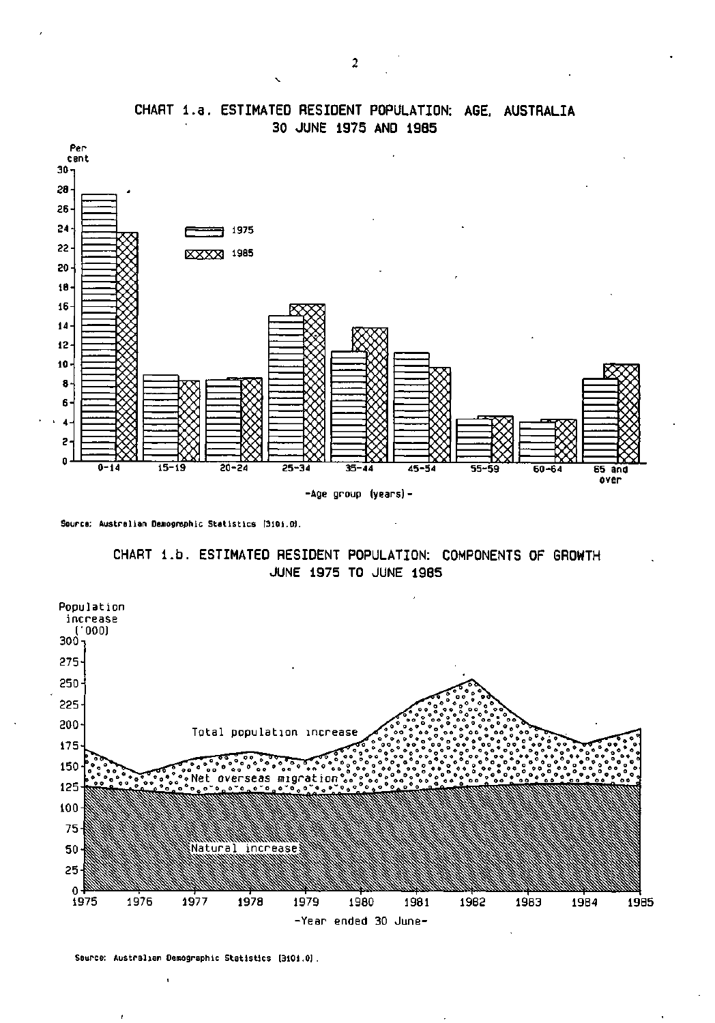

# CHART 1.a. ESTIMATED RESIDENT POPULATION: AGE, AUSTRALIA 30 JUNE 1975 AND 1985

**Source: Australian Demographic Statistics (3101.0).** 





**source: Australian Demographic Statistics (3101.0)**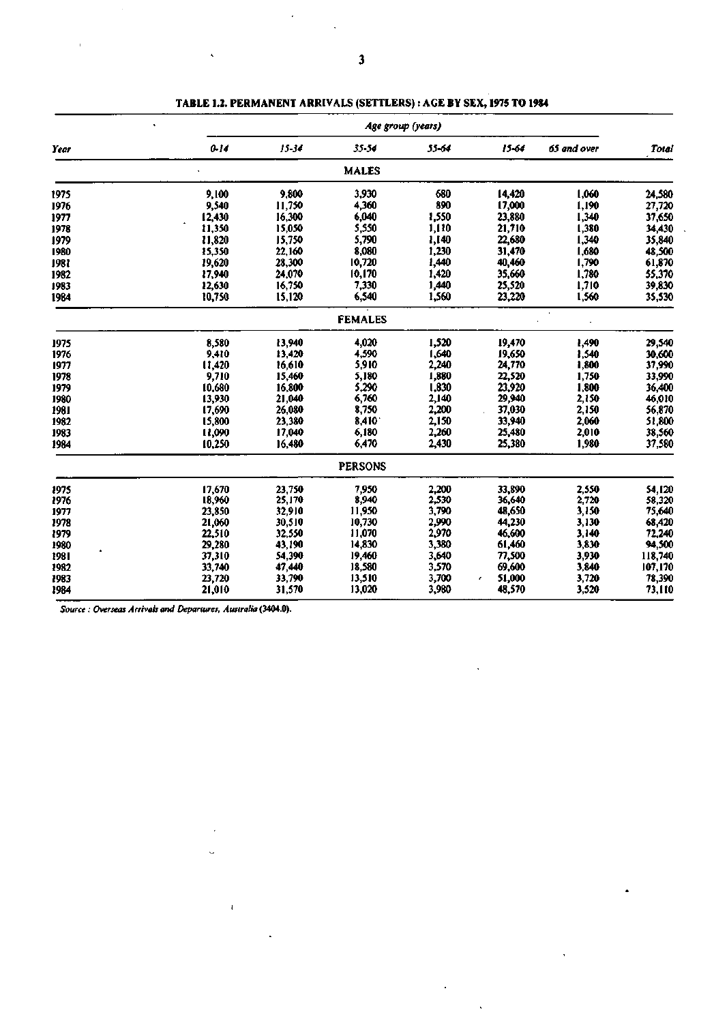|      | Age group (years) |           |                |       |           |             |              |  |  |  |
|------|-------------------|-----------|----------------|-------|-----------|-------------|--------------|--|--|--|
| Year | $0 - 14$          | $15 - 34$ | 35-54          | 55-64 | $15 - 64$ | 65 and over | <b>Total</b> |  |  |  |
|      |                   |           | <b>MALES</b>   |       |           |             |              |  |  |  |
| 1975 | 9,100             | 9,800     | 3,930          | 680   | 14,420    | 1,060       | 24,580       |  |  |  |
| 1976 | 9,540             | 11,750    | 4,360          | 890   | 17,000    | 1,190       | 27,720       |  |  |  |
| 1977 | 12,430            | 16,300    | 6,040          | 1,550 | 23,880    | 1,340       | 37,650       |  |  |  |
| 1978 | 11,350            | 15,050    | 5,550          | 1,110 | 21,710    | 1,380       | 34,430       |  |  |  |
| 1979 | 11,820            | 15,750    | 5,790          | 1,140 | 22,680    | 1,340       | 35,840       |  |  |  |
| 1980 | 15,350            | 22,160    | 8,080          | 1,230 | 31,470    | 1,680       | 48,500       |  |  |  |
| 1981 | 19,620            | 28,300    | 10,720         | 1,440 | 40,460    | 1,790       | 61,870       |  |  |  |
| 1982 | 17,940            | 24,070    | 10,170         | 1,420 | 35,660    | 1,780       | 55,370       |  |  |  |
| 1983 | 12,630            | 16,750    | 7,330          | 1,440 | 25,520    | 1,710       | 39,830       |  |  |  |
| 1984 | 10,750            | 15,120    | 6,540          | 1,560 | 23,220    | 1,560       | 35,530       |  |  |  |
|      |                   |           | <b>FEMALES</b> |       |           |             |              |  |  |  |
| 1975 | 8,580             | 13,940    | 4,020          | 1,520 | 19,470    | 1,490       | 29,540       |  |  |  |
| 1976 | 9,410             | 13,420    | 4,590          | 1,640 | 19,650    | 1,540       | 30,600       |  |  |  |
| 1977 | 11,420            | 16,610    | 5,910          | 2,240 | 24,770    | 1,800       | 37,990       |  |  |  |
| 1978 | 9,710             | 15,460    | 5,180          | 1,880 | 22,520    | 1,750       | 33,990       |  |  |  |
| 1979 | 10,680            | 16,800    | 5,290          | 1,830 | 23,920    | 1,800       | 36,400       |  |  |  |
| 1980 | 13,930            | 21,040    | 6,760          | 2,140 | 29,940    | 2,150       | 46,010       |  |  |  |
| 1981 | 17,690            | 26,080    | 8,750          | 2,200 | 37,030    | 2,150       | 56,870       |  |  |  |
| 1982 | 15,800            | 23,380    | 8,410          | 2.150 | 33,940    | 2,060       | 51,800       |  |  |  |
| 1983 | 11,090            | 17,040    | 6,180          | 2,260 | 25,480    | 2,010       | 38,560       |  |  |  |
| 1984 | 10,250            | 16,480    | 6,470          | 2,430 | 25,380    | 1,980       | 37,580       |  |  |  |
|      |                   |           | <b>PERSONS</b> |       |           |             |              |  |  |  |
| 1975 | 17,670            | 23,750    | 7,950          | 2,200 | 33,890    | 2,550       | 54,120       |  |  |  |
| 1976 | 18,960            | 25,170    | 8,940          | 2,530 | 36,640    | 2,720       | 58,320       |  |  |  |
| 1977 | 23,850            | 32,910    | 11,950         | 3,790 | 48,650    | 3,150       | 75,640       |  |  |  |
| 1978 | 21,060            | 30,510    | 10,730         | 2,990 | 44,230    | 3,130       | 68,420       |  |  |  |
| 1979 | 22,510            | 32,550    | 11,070         | 2,970 | 46,600    | 3,140       | 72,240       |  |  |  |
| 1980 | 29,280            | 43,190    | 14,830         | 3,380 | 61,460    | 3,830       | 94,500       |  |  |  |
| 1981 | 37,310            | 54,390    | 19,460         | 3,640 | 77,500    | 3,930       | 118,740      |  |  |  |
| 1982 | 33,740            | 47,440    | 18,580         | 3,570 | 69,600    | 3,840       | 107,170      |  |  |  |
| 1983 | 23,720            | 33,790    | 13,510         | 3,700 | 51,000    | 3,720       | 78,390       |  |  |  |
| 1984 | 21,010            | 31,570    | 13,020         | 3,980 | 48,570    | 3,520       | 73,110       |  |  |  |

**TABLE 1.2. PERMANENT ARRIVALS (SETTLERS): AGE BY SEX, 1975 TO 1984** 

*Source: Overseas Arrivals and Departures, Australia* **(3404.0).**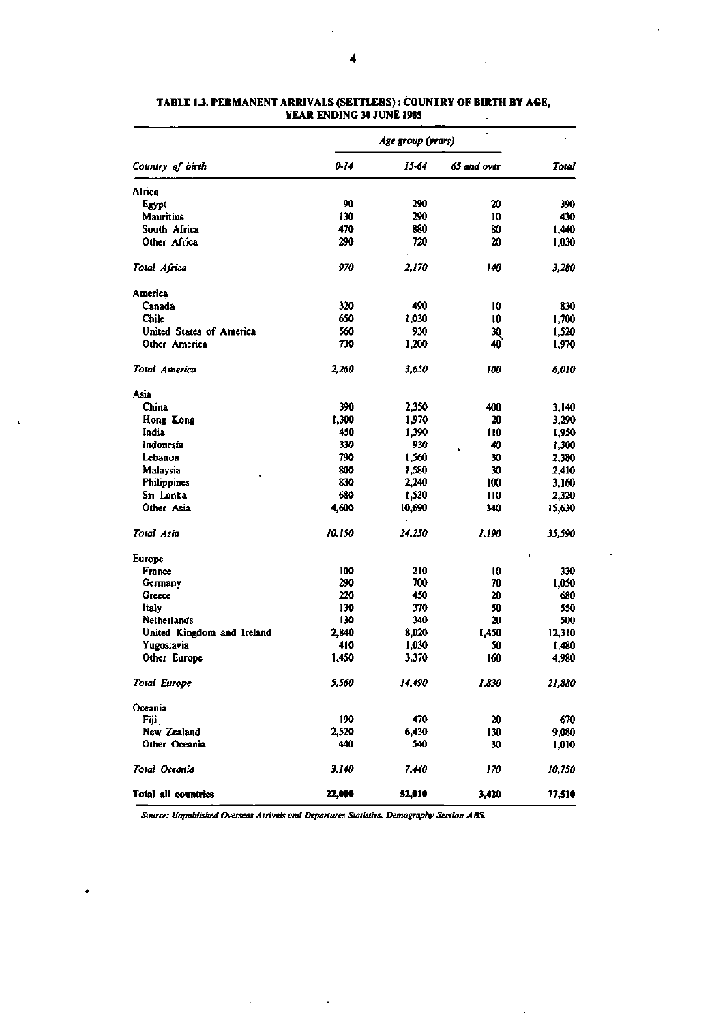|                            |              | Age group (years) |             |                |  |  |
|----------------------------|--------------|-------------------|-------------|----------------|--|--|
| Country of birth           | $0 - 14$     | 15-64             | 65 and over | Total          |  |  |
| Africa                     |              |                   |             |                |  |  |
| Egypt                      | 90           | 290               | 20          | 390            |  |  |
| <b>Mauritius</b>           | 130          | 290               | 10          | 430            |  |  |
| South Africa               | 470          | 880               | 80          | 1,440          |  |  |
| Other Africa               | 290          | 720               | 20          | 1,030          |  |  |
| Total Africa               | 970          | 2,170             | 140         | 3,280          |  |  |
| America                    |              |                   |             |                |  |  |
| Canada                     | 320          | 490               | 10          | 830            |  |  |
| Chile                      | 650          | 1,030             | IO          | 1,700          |  |  |
| United States of America   | 560          | 930               | 30          | 1,520          |  |  |
| Other America              | 730          | 1,200             | 40          | 1,970          |  |  |
| Total America              | 2,260        | 3,650             | 100         | 6,010          |  |  |
| Asia                       |              |                   |             |                |  |  |
| China                      | 390          | 2,350             | 400         | 3,140          |  |  |
| Hong Kong                  | t,300        | 1,970             | 20          | 3,290          |  |  |
| India                      | 450          | 1,390             | 110         | 1,950          |  |  |
| Indonesia                  | 330          | 930               | 40          | 1,300          |  |  |
| Lebanon                    | 790          | 1,560             | 30          | 2,380          |  |  |
| Malaysia                   | 800          | 1,580             | 30          | 2,410          |  |  |
| <b>Philippines</b>         | 830          | 2,240             | 100         | 3,160          |  |  |
| Sri Lanka                  | 680          | 1,530             | 110         | 2,320          |  |  |
| Other Asia                 | 4,600        | 10,690            | 340         | 15,630         |  |  |
| Total Asia                 | 10,150       | 24,250            | 1.190       | 35,590         |  |  |
| Europe                     |              |                   |             |                |  |  |
| France                     | 100          | 210               | 10          | 330            |  |  |
| Germany                    | 290          | 700               | 70          | 1,050          |  |  |
| Greece                     | 220          | 450               | 20          | 680            |  |  |
| Italy                      | 130          | 370               | 50          | 550            |  |  |
| <b>Netherlands</b>         | 130          | 340               | 20          | 500            |  |  |
| United Kingdom and Ireland | 2,840        | 8,020             | 1,450       | 12,310         |  |  |
| Yugoslavia<br>Other Europe | 410<br>1,450 | 1,030<br>3,370    | 50<br>160   | 1,480<br>4,980 |  |  |
| Total Europe               | 5,560        | 14,490            | 1,830       | 21,880         |  |  |
| Oceania                    |              |                   |             |                |  |  |
| Fiji.                      | 190          | 470               | 20          | 670            |  |  |
| New Zealand                | 2,520        | 6,430             | 130         | 9,080          |  |  |
| Other Oceania              | 440          | 540               | 30          | 1,010          |  |  |
| Total Oceania              | 3.140        | 7,440             | 170         | 10,750         |  |  |
| Total all countries        | 22,080       | 52,010            | 3,420       | 77,510         |  |  |

 $\ddot{\phantom{a}}$ 

۰

#### **TABLE 1 J. PERMANENT ARRIVALS (SETTLERS): COUNTRY OF BIRTH BY AGE, YEAR ENDING 30 JUNE 1985**  l,

*Source: Unpublished Overseas Arrivals and Departures Statistics, Demography Section ABS.* 

 $\mathbb{Z}^2$ 

 $\cdot$ 

 $\Delta \sim 10^4$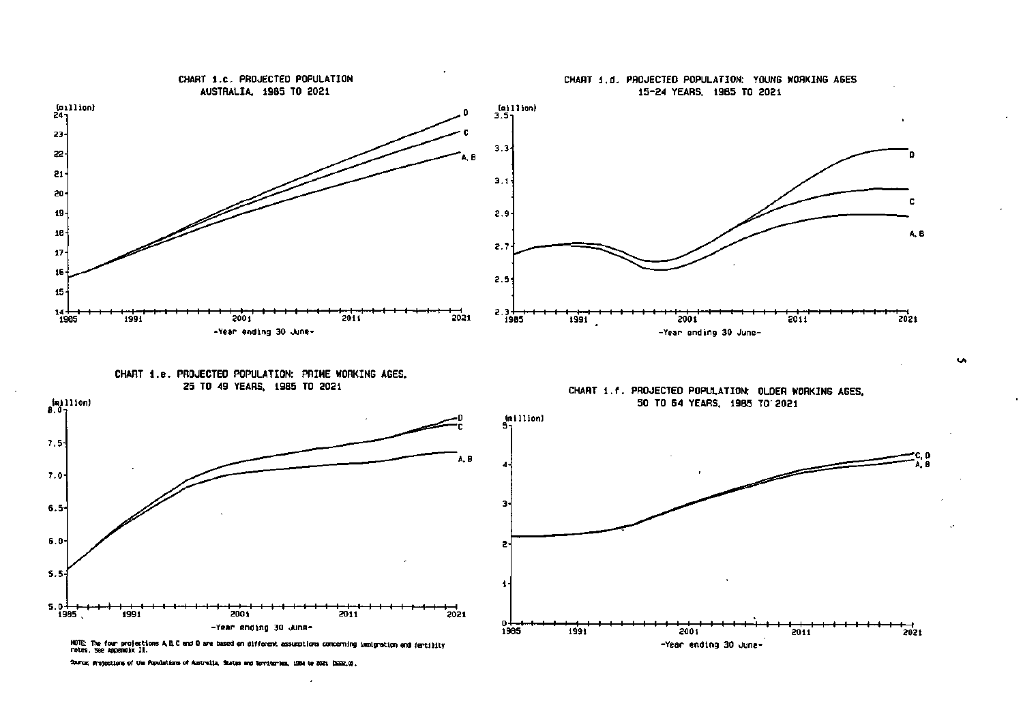

**Source: Rejections of tho Ovulations of Australia. States and Territories. 1S84 to 2031 0222.0).** 

Ō,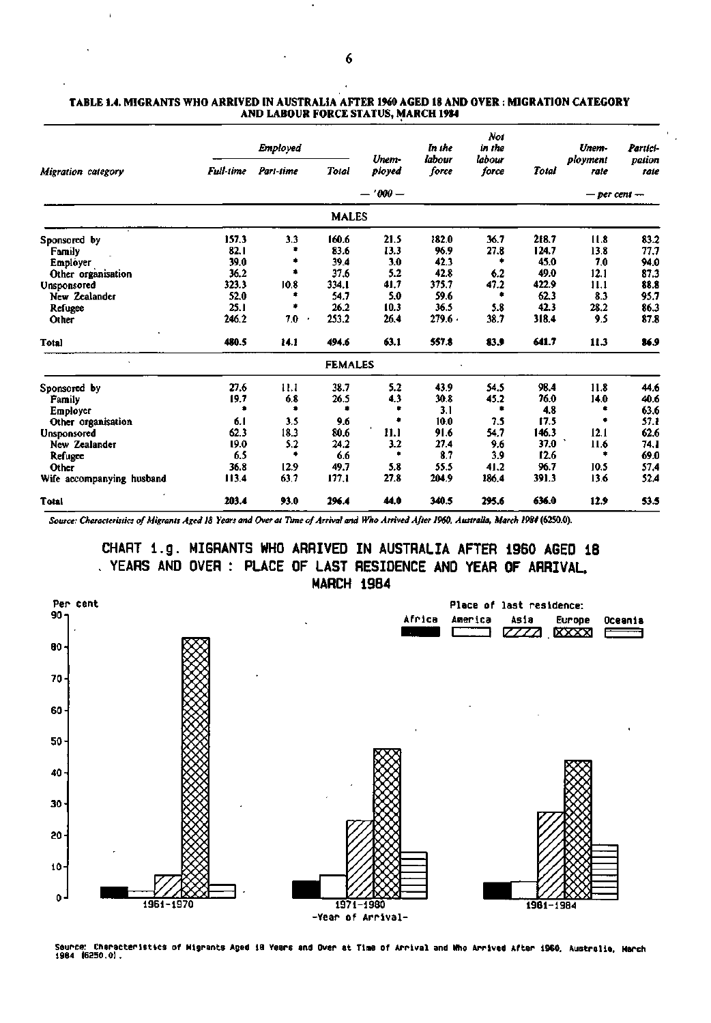|                           | <b>Employed</b>  |                |                |                 | In the          | Not<br>in the   |       | Unem-            | Partici-       |
|---------------------------|------------------|----------------|----------------|-----------------|-----------------|-----------------|-------|------------------|----------------|
| Migration category        | <b>Full-time</b> | Part-time      | <b>Total</b>   | Unem-<br>ployed | labour<br>force | labour<br>force | Total | ployment<br>rate | pation<br>rate |
|                           |                  |                |                | $-1000-$        |                 |                 |       | $-$ per cent $-$ |                |
|                           |                  |                | <b>MALES</b>   |                 |                 |                 |       |                  |                |
| Sponsored by              | 157.3            | 3.3            | 160.6          | 21.5            | 182.0           | 36.7            | 218.7 | 11.8             | 83.2           |
| Family                    | 82.1             | ۰              | 83.6           | 13.3            | 96.9            | 27.8            | 124.7 | 13.8             | 77.7           |
| Employer                  | 39.0             | ۰              | 39.4           | 3.0             | 42.3            | ۰               | 45.0  | 7.0              | 94.0           |
| Other organisation        | 36.2             | ۰              | 37.6           | 5.2             | 42.8            | 6.2             | 49.0  | 12.1             | 87.3           |
| Unsponsored               | 323.3            | 10.8           | 334.1          | 41.7            | 375.7           | 47.2            | 422.9 | 11.1             | 88.8           |
| New Zealander             | 52.0             | ۰              | 54.7           | 5.0             | 59.6            | ٠               | 62.3  | 8.3              | 95.7           |
| Refugee                   | 25.1             | ۰              | 26.2           | 10.3            | 36.5            | 5.8             | 42.3  | 28.2             | 86.3           |
| Other                     | 246.2            | 7.0<br>$\cdot$ | 253.2          | 26.4            | 279.6           | 38.7            | 318.4 | 9.5              | 87.8           |
| <b>Total</b>              | 480.5            | 14.1           | 494.6          | 63.1            | 557.8           | 83.9            | 641.7 | 11.3             | 86.9           |
|                           |                  |                | <b>FEMALES</b> |                 |                 |                 |       |                  |                |
| Sponsored by              | 27.6             | 11.1           | 38.7           | 5.2             | 43.9            | 54.5            | 98.4  | 11.8             | 44.6           |
| Family                    | 19.7             | 6.8            | 26.5           | 4.3             | 30.8            | 45.2            | 76.0  | 14.0             | 40.6           |
| Employer                  | ٠                | ۰              | ٠              | ۰               | 3.1             | ٠               | 4.8   |                  | 63.6           |
| Other organisation        | 6.1              | 3.5            | 9.6            |                 | 10.0            | 7.5             | 17.5  |                  | 57.1           |
| Unsponsored               | 62.3             | 18.3           | 80.6           | 11.1            | 91.6            | 54.7            | 146.3 | 12.1             | 62.6           |
| New Zealander             | 19.0             | 5.2            | 24.2           | 3.2             | 27.4            | 9.6             | 37.0  | $\,$<br>11.6     | 74.1           |
| Refugee                   | 6.5              | ٠              | 6.6            | ٠               | 8.7             | 3.9             | 12.6  | ٠                | 69.0           |
| Other                     | 36.8             | 12.9           | 49.7           | 5.8             | 55.5            | 41.2            | 96.7  | 10.5             | 57.4           |
| Wife accompanying husband | 113.4            | 63.7           | 177.1          | 27.8            | 204.9           | 186.4           | 391.3 | 13.6             | 52.4           |
| <b>Total</b>              | 203.4            | 93.0           | 296.4          | 44.0            | 340.5           | 295.6           | 636.0 | 12.9             | 53.5           |

#### **TABLE 1.4. MIGRANTS WHO ARRIVED IN AUSTRALIA AFTER 1960 AGED 18 AND OVER : MIGRATION CATEGORY AND LABOUR FORCE STATUS, MARCH 1984**

*Source: Characteristics of Migrants Aged 18 Years and Over at Tune of Arrival and Who Arrived After 1960, Australia, March 1984* **(6250.0).** 

**CHART i.g. MIGRANTS WHO ARRIVED IN AUSTRALIA AFTER i960 AGED 18 . YEARS AND OVER : PLACE OF LAST RESIDENCE AND YEAR OF ARRIVAL.**  MARCH 19B4



**Source: Characteristics of Migrants Aged IB Years and Over at Tine of Arrival and Who Arrived After 1960. Australia. March 19B4 (6850.0) .**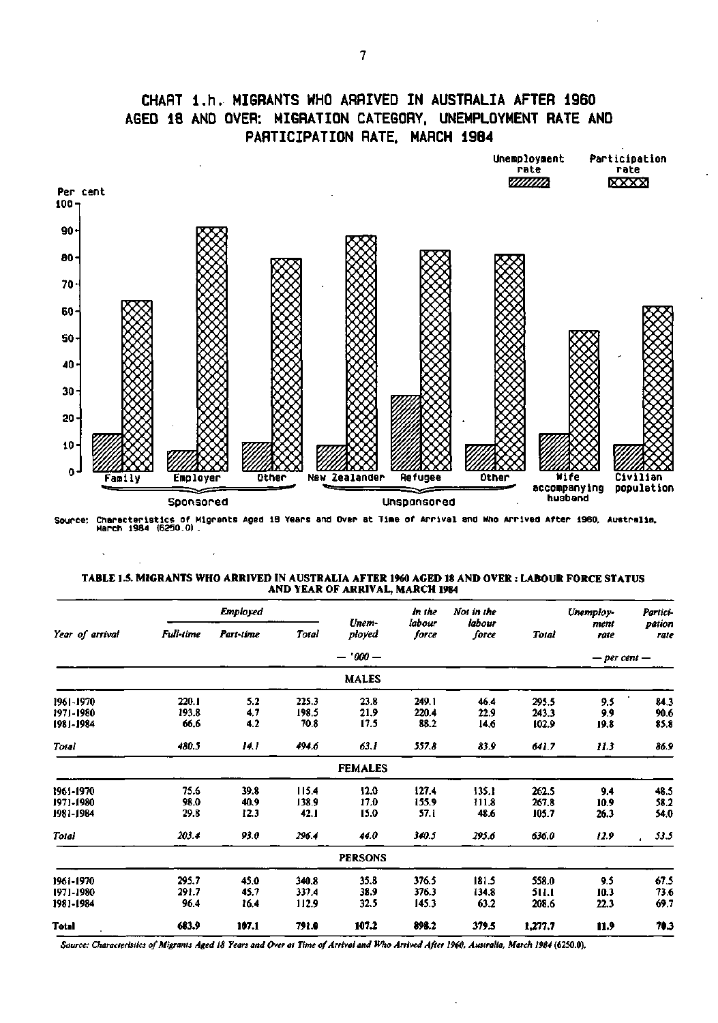



**Source: Characteristics of Migrants Aged IB Years and Over at Time of Arrival and Who Arrived After 1960. Australia. March 1984 (6250.0) .** 

 $\tilde{\mathbf{v}}$ 

 $\ddot{\phantom{a}}$ 

 $\overline{1}$ 

| TABLE 1.5. MIGRANTS WHO ARRIVED IN AUSTRALIA AFTER 1960 AGED 18 AND OVER : LABOUR FORCE STATUS |  |
|------------------------------------------------------------------------------------------------|--|
| AND YEAR OF ARRIVAL, MARCH 1984                                                                |  |

|                 | <b>Employed</b> |           |       |                 | In the          | Not in the      |              | Unemploy-        | Partici-       |
|-----------------|-----------------|-----------|-------|-----------------|-----------------|-----------------|--------------|------------------|----------------|
| Year of arrival | Full-time       | Part-time | Total | Unem-<br>ployed | labour<br>force | labour<br>force | <b>Total</b> | ment<br>rate     | pation<br>rate |
|                 |                 |           |       | $-1000 -$       |                 |                 |              | $-$ per cent $-$ |                |
|                 |                 |           |       | <b>MALES</b>    |                 |                 |              |                  |                |
| 1961-1970       | 220.1           | 5.2       | 225.3 | 23.8            | 249.1           | 46.4            | 295.5        | 9.5              | 84.3           |
| 1971-1980       | 193.8           | 4,7       | 198.5 | 21.9            | 220.4           | 22.9            | 243.3        | 9.9              | 90.6           |
| 1981-1984       | 66.6            | 4.2       | 70.8  | 17.5            | 88.2            | 14.6            | 102.9        | 19.8             | 85.8           |
| Total           | 480.5           | 14.1      | 494.6 | 63.1            | 557.8           | 83.9            | 641.7        | 11.3             | 86.9           |
|                 |                 |           |       | <b>FEMALES</b>  |                 |                 |              |                  |                |
| 1961-1970       | 75.6            | 39.8      | 115.4 | 12.0            | 127.4           | 135.1           | 262.5        | 9.4              | 48.5           |
| 1971-1980       | 98.0            | 40.9      | 138.9 | 17.0            | 155.9           | 111.8           | 267.8        | 10.9             | 58.2           |
| 1981-1984       | 29.8            | 12.3      | 42.1  | 15.0            | 57.1            | 48.6            | 105.7        | 26.3             | 54.0           |
| <b>Total</b>    | 203.4           | 93.0      | 296.4 | 44.0            | 340.5           | 295.6           | 636.0        | 12.9             | 53.5           |
|                 |                 |           |       | <b>PERSONS</b>  |                 |                 |              |                  |                |
| 1961-1970       | 295.7           | 45.0      | 340.8 | 35.8            | 376.5           | 181.5           | 558.0        | 9.5              | 67.5           |
| 1971-1980       | 291.7           | 45,7      | 337,4 | 38.9            | 376.3           | 134.8           | 51 î.H       | 10.3             | 73.6           |
| 1981-1984       | 96.4            | 16.4      | 112.9 | 32.5            | 145.3           | 63.2            | 208.6        | 22.3             | 69.7           |
| <b>Total</b>    | 683.9           | 167.1     | 791.0 | 107.2           | 898.2           | 379.5           | 1,277.7      | 11.9             | 70.3           |

*Source: Characteristics of Migrants Aged IS Years and Over at Time of Arrival and Who Arrived After I960, Australia, March 1984* **(6250.0).**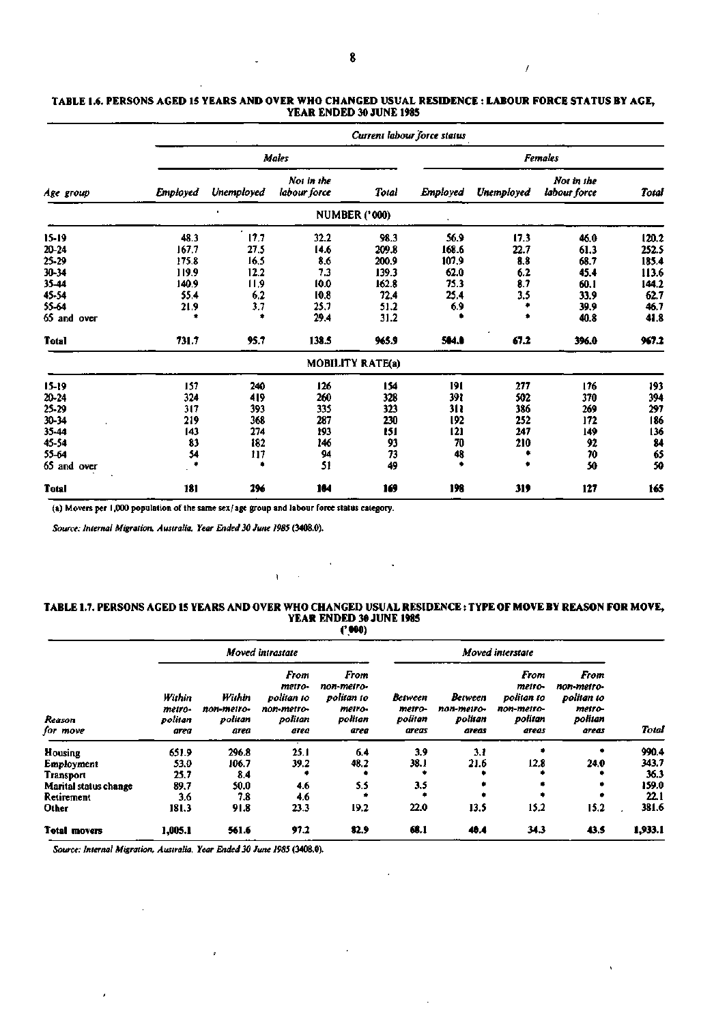|              | Current labour force status |            |                            |                         |          |            |                            |              |  |  |  |
|--------------|-----------------------------|------------|----------------------------|-------------------------|----------|------------|----------------------------|--------------|--|--|--|
|              |                             |            | Males                      |                         |          |            | <b>Females</b>             |              |  |  |  |
| Age group    | <b>Employed</b>             | Unemployed | Not in the<br>labour force | Total                   | Employed | Unemployed | Not in the<br>labour force | <b>Total</b> |  |  |  |
|              |                             |            |                            | <b>NUMBER ('000)</b>    |          |            |                            |              |  |  |  |
| $15 - 19$    | 48.3                        | 17.7       | 32.2                       | 98.3                    | 56.9     | 17.3       | 46.0                       | 120.2        |  |  |  |
| 20-24        | 167.7                       | 27.5       | 14.6                       | 209.8                   | 168.6    | 22.7       | 61.3                       | 252.5        |  |  |  |
| 25-29        | 175.8                       | 16.5       | 8.6                        | 200.9                   | 107.9    | 8.8        | 68.7                       | 185.4        |  |  |  |
| 30-34        | 119.9                       | 12.2       | 7.3                        | 139.3                   | 62.0     | 6.2        | 45.4                       | 113.6        |  |  |  |
| 35-44        | 140.9                       | 11.9       | 10.0                       | 162.8                   | 75.3     | 8.7        | 60.1                       | 144.2        |  |  |  |
| 45-54        | 55.4                        | 6.2        | 10.8                       | 72.4                    | 25.4     | 3.5        | 33.9                       | 62.7         |  |  |  |
| 55-64        | 21.9                        | 3.7        | 25.7                       | 51.2                    | 6.9      | ۰          | 39.9                       | 46.7         |  |  |  |
| 65 and over  |                             | ۰          | 29.4                       | 31.2                    | ٠        |            | 40.8                       | 41.8         |  |  |  |
| <b>Total</b> | 731.7                       | 95.7       | 138.5                      | 965.9                   | 504.0    | 67.2       | 396.0                      | 967.2        |  |  |  |
|              |                             |            |                            | <b>MOBILITY RATE(a)</b> |          |            |                            |              |  |  |  |
| $15-19$      | 157                         | 240        | 126                        | 154                     | 191      | 277        | 176                        | 193          |  |  |  |
| 20-24        | 324                         | 419        | 260                        | 328                     | 39 t     | 502        | 370                        | 394          |  |  |  |
| 25-29        | 317                         | 393        | 335                        | 323                     | 311      | 386        | 269                        | 297          |  |  |  |
| 30-34        | 219                         | 368        | 287                        | 230                     | 192      | 252        | 172                        | 186          |  |  |  |
| 35-44        | 143                         | 274        | 193                        | 151                     | 121      | 247        | 149                        | 136          |  |  |  |
| 45-54        | 83                          | 182        | 146                        | 93                      | 70       | 210        | 92                         | 84           |  |  |  |
| 55-64        | 54                          | 117        | 94                         | 73                      | 48       | ۰          | 70                         | 65           |  |  |  |
| 65 and over  | ٠                           | ٠          | 51                         | 49                      | ۰        | ۰          | 50                         | 50           |  |  |  |
| Total        | 181                         | 296        | 104                        | 169                     | 198      | 319        | 127                        | 165          |  |  |  |

#### **TABLE 1.6. PERSONS AGED 15 YEARS AND OVER WHO CHANGED USUAL RESIDENCE : LABOUR FORCE STATUS BY AGE, YEAR ENDED 30 JUNE 1985**

(a) Movers per 1,000 population of the same sex/ age group and labour force status category.

ï

*Source: Internal Migration. Australia. Year Ended 30 June 1985* (3408.0).

#### **TABLE 1.7. PERSONS AGED 15 YEARS AND OVER WHO CHANGED USUAL RESIDENCE: TYPE OF MOVE BY REASON FOR MOVE, YEAR ENDED 30 JUNE 1985 ('000)**

*Moved intrastate Moved interstate From From From From metro- non-metro- metro- non-metro-Within Within politan to politan to Between Between politan to politan to metro- non-metro- non-metro- metro- metro- non-metro- non-metro- metro-Reason politan politan politan politan politan politan politan politan for move area area area area areas areas areas areas Total*  Housing 651.9 296.8 25.1 6.4 3.9 3.1 *\** **•** 990.4 Employment 53.0 106.7 39.2 48.2 38.1 21.6 12.8 24.0 343.7 **Transport 25.7 8.4 \* \* \* \* \* \* 36.3** Marital status change 89.7 50.0 4.6 5.5 3.5 **\*** \* \* \* 159.0<br>Retirement 3.6 7.8 4.6 **\*** \* \* \* \* \* <u>\* \* \* \* \* \* 22.1</u> Retirement 3.6 7.8 4.6 **\* \* • \* •** 22.1 Other 181.3 91.8 23.3 19.2 22.0 13.5 15.2 15.2 381.6 Total movers 1,005.1 **561.6** 97.2 82.9 **68.1 40.4 34.3 43.5 1,933.1** 

*Source: Internal Migration. Australia, Year Ended 30 June 1985* (3408.0).

 $\pmb{\phi}$ 

**/**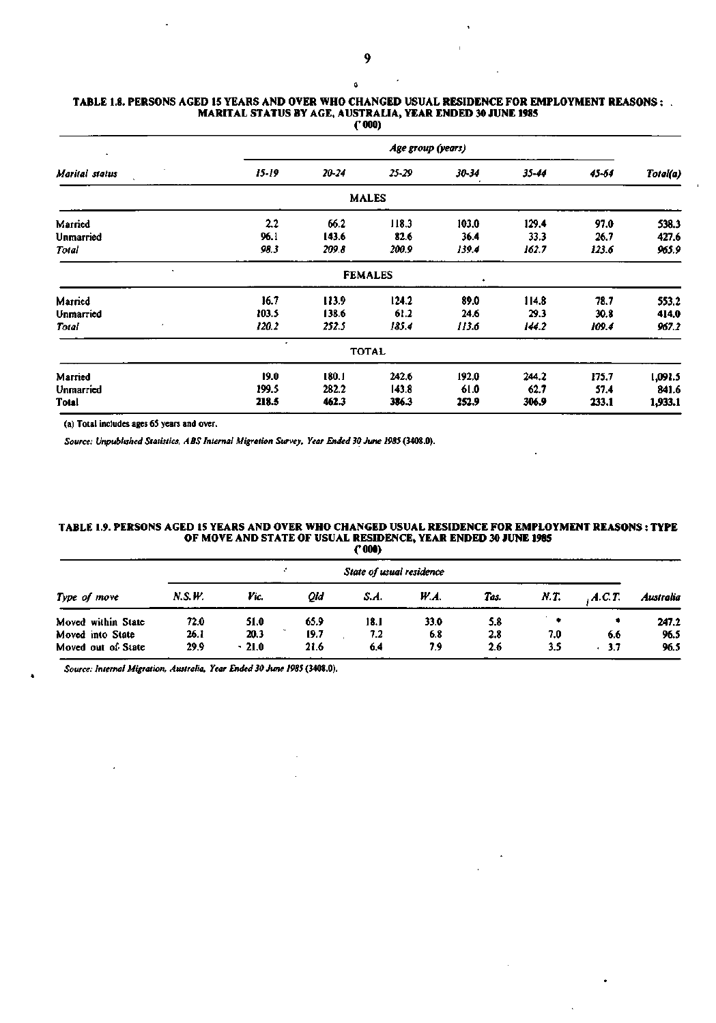|                |           | Age group (years) |                |       |       |       |          |  |  |  |
|----------------|-----------|-------------------|----------------|-------|-------|-------|----------|--|--|--|
|                |           |                   |                |       |       |       |          |  |  |  |
| Marital status | $15 - 19$ | $20 - 24$         | $25 - 29$      | 30-34 | 35-44 | 45-64 | Total(a) |  |  |  |
|                |           |                   | <b>MALES</b>   |       |       |       |          |  |  |  |
| Married        | 2.2       | 66.2              | 118.3          | 103.0 | 129.4 | 97.0  | 538.3    |  |  |  |
| Unmarried      | 96.1      | 143.6             | 82.6           | 36.4  | 33.3  | 26.7  | 427.6    |  |  |  |
| Total          | 98.3      | 209.8             | 200.9          | 139.4 | 162.7 | 123.6 | 965.9    |  |  |  |
|                |           |                   | <b>FEMALES</b> |       |       |       |          |  |  |  |
| Married        | 16.7      | 113.9             | 124.2          | 89.0  | 114.8 | 78.7  | 553.2    |  |  |  |
| Unmarried      | 103.5     | 138.6             | 61.2           | 24.6  | 29.3  | 30.8  | 414.0    |  |  |  |
| Total<br>٠     | 120.2     | 252.5             | 185.4          | 113.6 | 144.2 | 109.4 | 967.2    |  |  |  |
|                | ٠         |                   | <b>TOTAL</b>   |       |       |       |          |  |  |  |
| Married        | 19.0      | 180.1             | 242.6          | 192.0 | 244.2 | 175.7 | 1,091.5  |  |  |  |
| Unmarried      | 199.5     | 282.2             | 143.8          | 61.0  | 62.7  | 57.4  | 841.6    |  |  |  |
| Total          | 218.5     | 462.3             | 386.3          | 252.9 | 306.9 | 233.1 | 1,933.1  |  |  |  |

#### **TABLE 1.8. PERSONS AGED 15 YEARS AND OVER WHO CHANGED USUAL RESIDENCE FOR EMPLOYMENT REASONS : MARITAL STATUS BY AGE, AUSTRALIA, YEAR ENDED 30 JUNE 1985 ('000)**

(a) Total includes ages 65 years and over.

*Source: Unpublished Statistics. ABS Internal Migration Survey. Year Ended 30 June 1985* **(3408.0).** 

### **TABLE 1.9. PERSONS AGED 15 YEARS AND OVER WHO CHANGED USUAL RESIDENCE FOR EMPLOYMENT REASONS : TYPE OF MOVE AND STATE OF USUAL RESIDENCE, YEAR ENDED 30 JUNE 1985**

l.

|                    | (' 000)<br>----          |         |      |       |             |      |      |        |           |  |  |  |
|--------------------|--------------------------|---------|------|-------|-------------|------|------|--------|-----------|--|--|--|
|                    | State of usual residence |         |      |       |             |      |      |        |           |  |  |  |
| Type of move       | N.S.W.                   | Vic.    | Old  | S.A.  | <b>W.A.</b> | Tas. | N.T. | A.C.T. | Australia |  |  |  |
| Moved within State | 72.0                     | 51.0    | 65.9 | 18. I | 33.0        | 5.8  |      | ٠      | 247.2     |  |  |  |
| Moved into State   | 26.I                     | 20.3    | 19.7 | 7.2   | 6.8         | 2.8  | 7.0  | 6.6    | 96.5      |  |  |  |
| Moved out of State | 29.9                     | $-21.0$ | 21.6 | 6.4   | 7.9         | 2.6  | 3.5  | 3.7    | 96.5      |  |  |  |

*Source: Internal Migration, Australia, Year Ended 30 June 1985* **(3408.0).** 

**0**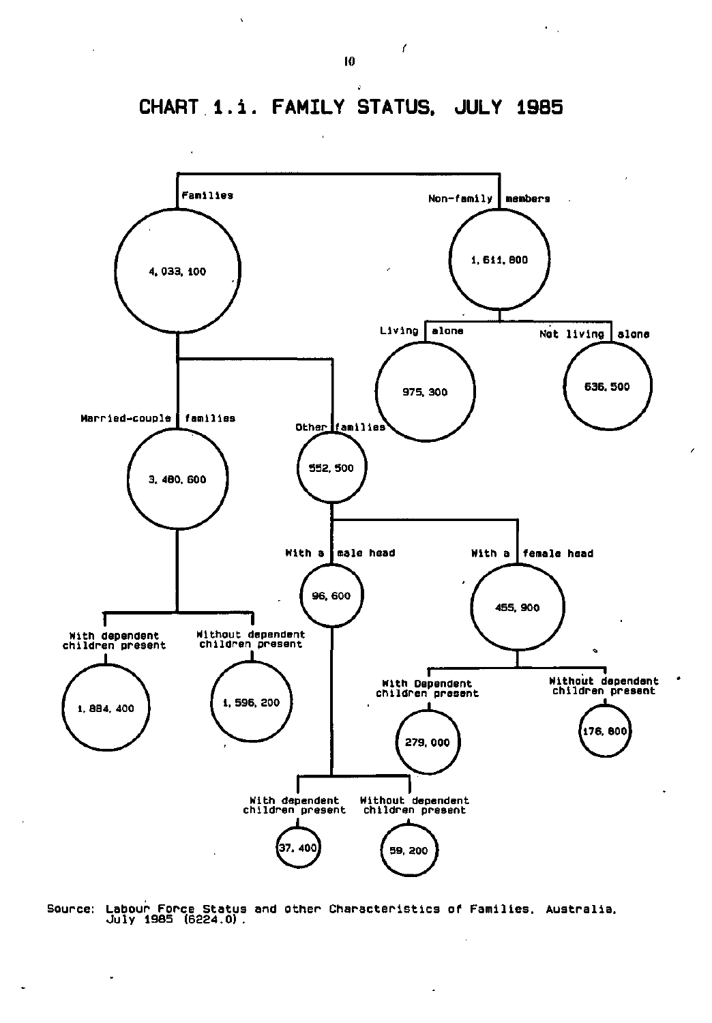



**Source: Labour Force Status and other Characteristics of Families, Australia. July 1985 (6224.0) .** 

 $\overline{\phantom{a}}$ 

t,

 $\mathcal{A}$ 

í

 $\ddot{\phantom{0}}$ 

i,

 $\ddot{\phantom{0}}$